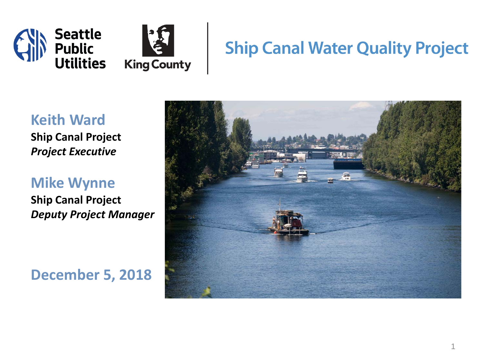

#### **Ship Canal Water Quality Project**

#### **Keith Ward**

**Ship Canal Project** *Project Executive*

**Mike Wynne Ship Canal Project**  *Deputy Project Manager*

**December 5, 2018**

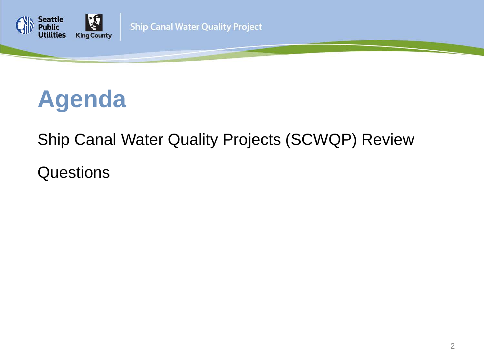



#### Ship Canal Water Quality Projects (SCWQP) Review

Questions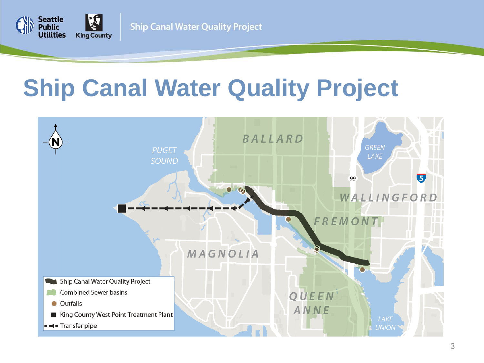

## **Ship Canal Water Quality Project**

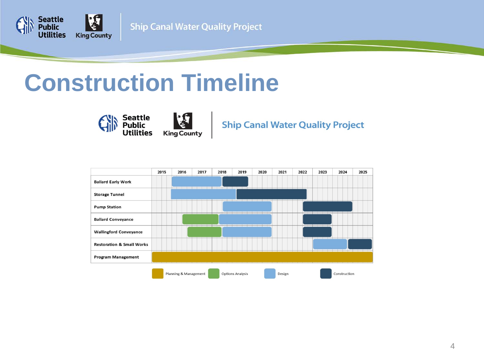

#### **Construction Timeline**



**Ship Canal Water Quality Project** 

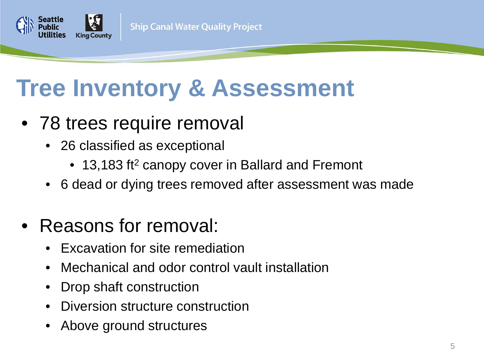## **Tree Inventory & Assessment**

- 78 trees require removal
	- 26 classified as exceptional
		- 13,183 ft<sup>2</sup> canopy cover in Ballard and Fremont
	- 6 dead or dying trees removed after assessment was made
- Reasons for removal:
	- Excavation for site remediation
	- Mechanical and odor control vault installation
	- Drop shaft construction
	- Diversion structure construction
	- Above ground structures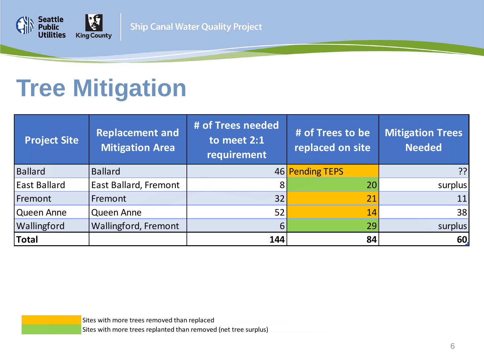

## **Tree Mitigation**

| <b>Project Site</b> | <b>Replacement and</b><br><b>Mitigation Area</b> | # of Trees needed<br>to meet 2:1<br>requirement | # of Trees to be<br>replaced on site | <b>Mitigation Trees</b><br><b>Needed</b> |
|---------------------|--------------------------------------------------|-------------------------------------------------|--------------------------------------|------------------------------------------|
| <b>Ballard</b>      | <b>Ballard</b>                                   |                                                 | 46 Pending TEPS                      | ??                                       |
| <b>East Ballard</b> | East Ballard, Fremont                            | 8                                               | 20                                   | surplus                                  |
| Fremont             | Fremont                                          | 32                                              | 21                                   | 11                                       |
| Queen Anne          | Queen Anne                                       | 52                                              | 14                                   | 38                                       |
| Wallingford         | Wallingford, Fremont                             | 6                                               | 29                                   | surplus                                  |
| Total               |                                                  | 144                                             | 84                                   | 60                                       |

Sites with more trees removed than replaced Sites with more trees replanted than removed (net tree surplus)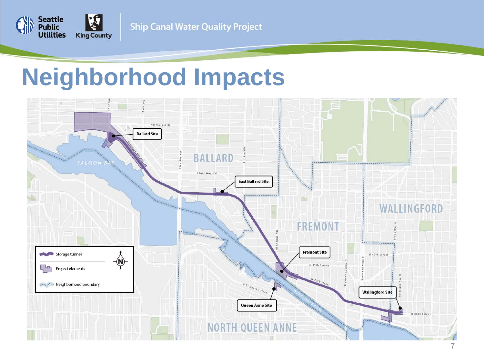

#### **Neighborhood Impacts**

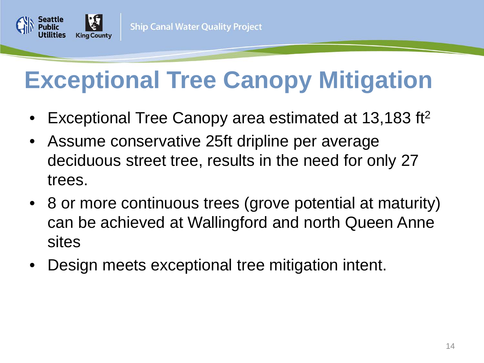

# **Exceptional Tree Canopy Mitigation**

- Exceptional Tree Canopy area estimated at 13,183 ft<sup>2</sup>
- Assume conservative 25ft dripline per average deciduous street tree, results in the need for only 27 trees.
- 8 or more continuous trees (grove potential at maturity) can be achieved at Wallingford and north Queen Anne sites
- Design meets exceptional tree mitigation intent.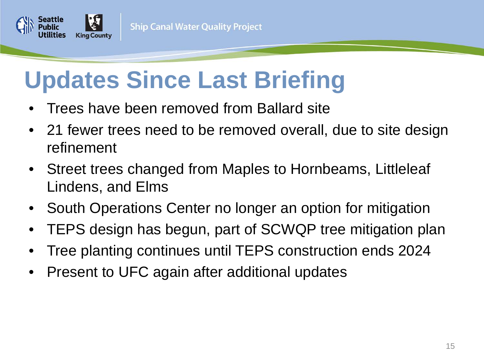

## **Updates Since Last Briefing**

- Trees have been removed from Ballard site
- 21 fewer trees need to be removed overall, due to site design refinement
- Street trees changed from Maples to Hornbeams, Littleleaf Lindens, and Elms
- South Operations Center no longer an option for mitigation
- TEPS design has begun, part of SCWQP tree mitigation plan
- Tree planting continues until TEPS construction ends 2024
- Present to UFC again after additional updates